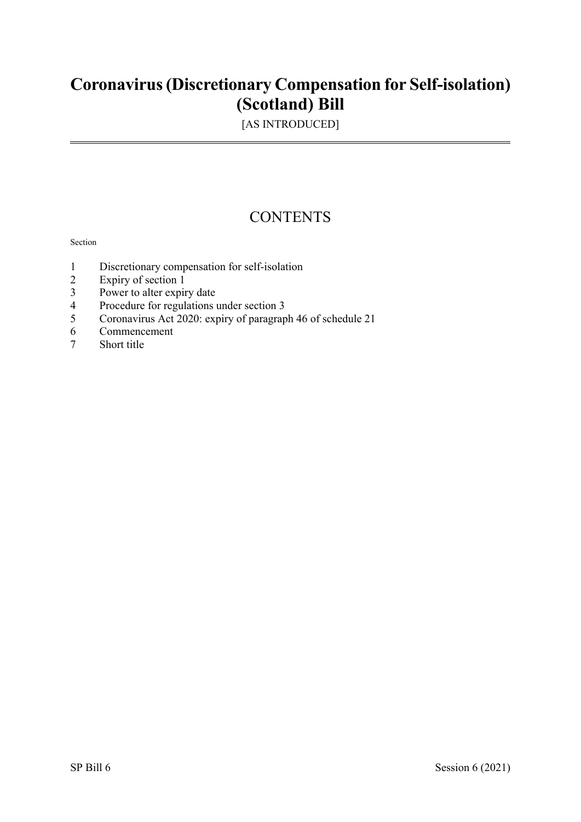## **Coronavirus(Discretionary Compensation for Self-isolation) (Scotland) Bill**

[AS INTRODUCED]

### **CONTENTS**

#### Section

- 1 Discretionary compensation for self-isolation<br>2 Expiry of section 1
- Expiry of section 1
- 3 Power to alter expiry date<br>4 Procedure for regulations
- 4 Procedure for regulations under section 3<br>5 Coronavirus Act 2020: expiry of paragrap
- 5 Coronavirus Act 2020: expiry of paragraph 46 of schedule 21
- 6 Commencement
- 7 Short title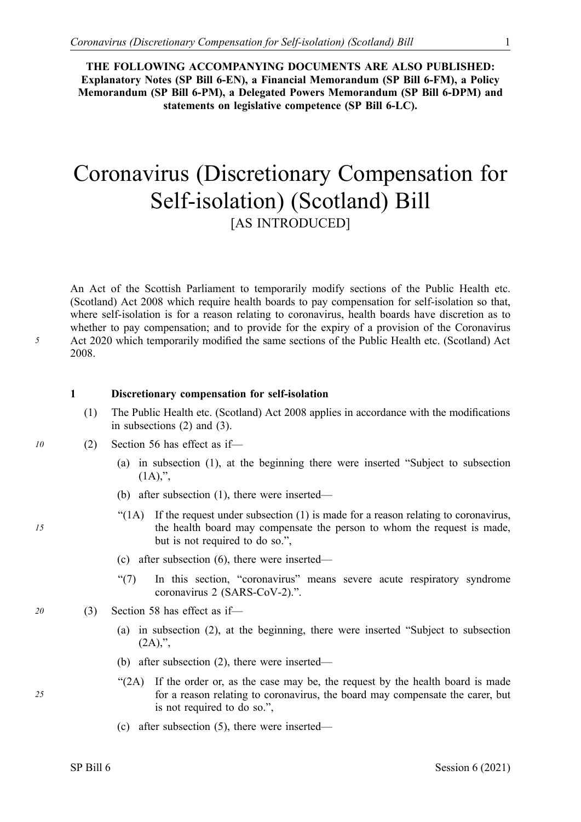**THE FOLLOWING ACCOMPANYING DOCUMENTS ARE ALSO PUBLISHED: Explanatory Notes (SP Bill 6-EN), a Financial Memorandum (SP Bill 6-FM), a Policy Memorandum (SP Bill 6-PM), a Delegated Powers Memorandum (SP Bill 6-DPM) and statements on legislative competence (SP Bill 6-LC).** 

# Coronavirus (Discretionary Compensation for Self-isolation) (Scotland) Bill [AS INTRODUCED]

An Act of the Scottish Parliament to temporarily modify sections of the Public Health etc. (Scotland) Act 2008 which require health boards to pay compensation for self-isolation so that, where self-isolation is for a reason relating to coronavirus, health boards have discretion as to whether to pay compensation; and to provide for the expiry of a provision of the Coronavirus Act 2020 which temporarily modified the same sections of the Public Health etc. (Scotland) Act 2008.

#### **1 Discretionary compensation for self-isolation**

- (1) The Public Health etc. (Scotland) Act 2008 applies in accordance with the modifications in subsections (2) and (3).
- *10* (2) Section 56 has effect as if—
- (a) in subsection (1), at the beginning there were inserted "Subject to subsection  $(1A),$ ",
	- (b) after subsection (1), there were inserted—
	- "(1A) If the request under subsection (1) is made for a reason relating to coronavirus, the health board may compensate the person to whom the request is made, but is not required to do so.",
	- (c) after subsection (6), there were inserted—
	- "(7) In this section, "coronavirus" means severe acute respiratory syndrome coronavirus 2 (SARS-CoV-2).".
	- *20* (3) Section 58 has effect as if—
		- (a) in subsection (2), at the beginning, there were inserted "Subject to subsection  $(2A)$ ,",
		- (b) after subsection (2), there were inserted—
		- "(2A) If the order or, as the case may be, the request by the health board is made for a reason relating to coronavirus, the board may compensate the carer, but is not required to do so.",
		- (c) after subsection (5), there were inserted—

*5*

*15*

*25*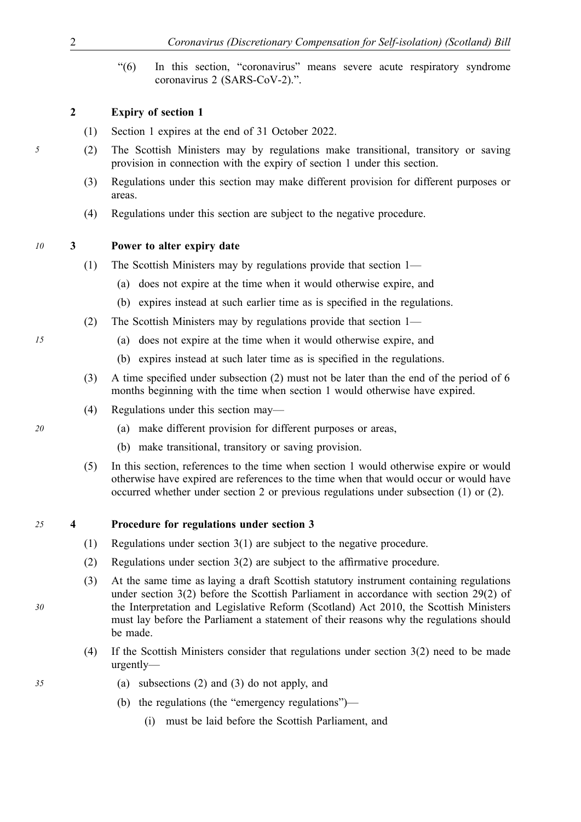"(6) In this section, "coronavirus" means severe acute respiratory syndrome coronavirus 2 (SARS-CoV-2).".

#### **2 Expiry of section 1**

- (1) Section 1 expires at the end of 31 October 2022.
- *5* (2) The Scottish Ministers may by regulations make transitional, transitory or saving provision in connection with the expiry of section 1 under this section.
	- (3) Regulations under this section may make different provision for different purposes or areas.
	- (4) Regulations under this section are subject to the negative procedure.

#### *10* **3 Power to alter expiry date**

- *1* (1) The Scottish Ministers may by regulations provide that section 1—
	- (a) does not expire at the time when it would otherwise expire, and
	- (b) expires instead at such earlier time as is specified in the regulations.
	- (2) The Scottish Ministers may by regulations provide that section 1—
	- *15* (a) does not expire at the time when it would otherwise expire, and
		- (b) expires instead at such later time as is specified in the regulations.
		- (3) A time specified under subsection (2) must not be later than the end of the period of 6 months beginning with the time when section 1 would otherwise have expired.
		- (4) Regulations under this section may—
	- *20* (a) make different provision for different purposes or areas,
		- (b) make transitional, transitory or saving provision.
		- (5) In this section, references to the time when section 1 would otherwise expire or would otherwise have expired are references to the time when that would occur or would have occurred whether under section 2 or previous regulations under subsection (1) or (2).

#### *25* **4 Procedure for regulations under section 3**

- (1) Regulations under section 3(1) are subject to the negative procedure.
- (2) Regulations under section 3(2) are subject to the affirmative procedure.
- (3) At the same time as laying a draft Scottish statutory instrument containing regulations under section 3(2) before the Scottish Parliament in accordance with section 29(2) of the Interpretation and Legislative Reform (Scotland) Act 2010, the Scottish Ministers must lay before the Parliament a statement of their reasons why the regulations should be made.
- (4) If the Scottish Ministers consider that regulations under section 3(2) need to be made urgently—
- *35* (a) subsections (2) and (3) do not apply, and
	- (b) the regulations (the "emergency regulations")—
		- (i) must be laid before the Scottish Parliament, and

*30*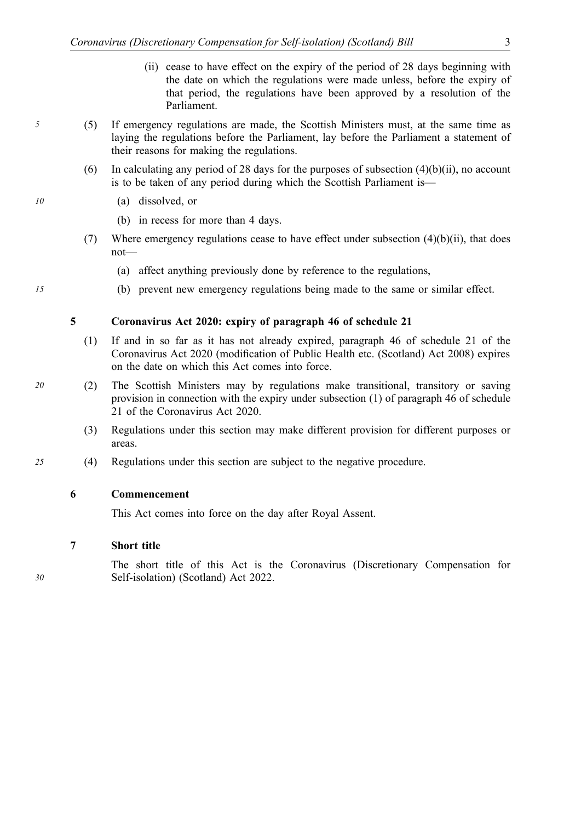- (ii) cease to have effect on the expiry of the period of 28 days beginning with the date on which the regulations were made unless, before the expiry of that period, the regulations have been approved by a resolution of the Parliament.
- *5* (5) If emergency regulations are made, the Scottish Ministers must, at the same time as laying the regulations before the Parliament, lay before the Parliament a statement of their reasons for making the regulations.
	- (6) In calculating any period of 28 days for the purposes of subsection (4)(b)(ii), no account is to be taken of any period during which the Scottish Parliament is—
- *10* (a) dissolved, or
- *1* (b) in recess for more than 4 days.
	- (7) Where emergency regulations cease to have effect under subsection  $(4)(b)(ii)$ , that does not—
		- (a) affect anything previously done by reference to the regulations,
	- *15* (b) prevent new emergency regulations being made to the same or similar effect.

#### **5 Coronavirus Act 2020: expiry of paragraph 46 of schedule 21**

- (1) If and in so far as it has not already expired, paragraph 46 of schedule 21 of the Coronavirus Act 2020 (modification of Public Health etc. (Scotland) Act 2008) expires on the date on which this Act comes into force.
- *20* (2) The Scottish Ministers may by regulations make transitional, transitory or saving provision in connection with the expiry under subsection (1) of paragraph 46 of schedule 21 of the Coronavirus Act 2020.
	- (3) Regulations under this section may make different provision for different purposes or areas.
- *25* (4) Regulations under this section are subject to the negative procedure.

#### **6 Commencement**

This Act comes into force on the day after Royal Assent.

#### **7 Short title**

The short title of this Act is the Coronavirus (Discretionary Compensation for Self-isolation) (Scotland) Act 2022.

*30*